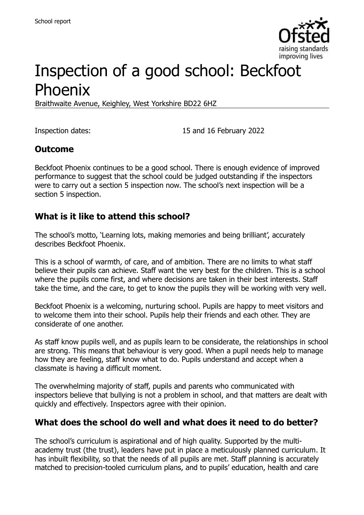

# Inspection of a good school: Beckfoot Phoenix

Braithwaite Avenue, Keighley, West Yorkshire BD22 6HZ

Inspection dates: 15 and 16 February 2022

#### **Outcome**

Beckfoot Phoenix continues to be a good school. There is enough evidence of improved performance to suggest that the school could be judged outstanding if the inspectors were to carry out a section 5 inspection now. The school's next inspection will be a section 5 inspection.

#### **What is it like to attend this school?**

The school's motto, 'Learning lots, making memories and being brilliant', accurately describes Beckfoot Phoenix.

This is a school of warmth, of care, and of ambition. There are no limits to what staff believe their pupils can achieve. Staff want the very best for the children. This is a school where the pupils come first, and where decisions are taken in their best interests. Staff take the time, and the care, to get to know the pupils they will be working with very well.

Beckfoot Phoenix is a welcoming, nurturing school. Pupils are happy to meet visitors and to welcome them into their school. Pupils help their friends and each other. They are considerate of one another.

As staff know pupils well, and as pupils learn to be considerate, the relationships in school are strong. This means that behaviour is very good. When a pupil needs help to manage how they are feeling, staff know what to do. Pupils understand and accept when a classmate is having a difficult moment.

The overwhelming majority of staff, pupils and parents who communicated with inspectors believe that bullying is not a problem in school, and that matters are dealt with quickly and effectively. Inspectors agree with their opinion.

#### **What does the school do well and what does it need to do better?**

The school's curriculum is aspirational and of high quality. Supported by the multiacademy trust (the trust), leaders have put in place a meticulously planned curriculum. It has inbuilt flexibility, so that the needs of all pupils are met. Staff planning is accurately matched to precision-tooled curriculum plans, and to pupils' education, health and care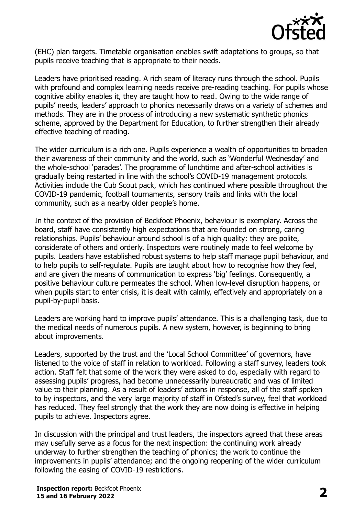

(EHC) plan targets. Timetable organisation enables swift adaptations to groups, so that pupils receive teaching that is appropriate to their needs.

Leaders have prioritised reading. A rich seam of literacy runs through the school. Pupils with profound and complex learning needs receive pre-reading teaching. For pupils whose cognitive ability enables it, they are taught how to read. Owing to the wide range of pupils' needs, leaders' approach to phonics necessarily draws on a variety of schemes and methods. They are in the process of introducing a new systematic synthetic phonics scheme, approved by the Department for Education, to further strengthen their already effective teaching of reading.

The wider curriculum is a rich one. Pupils experience a wealth of opportunities to broaden their awareness of their community and the world, such as 'Wonderful Wednesday' and the whole-school 'parades'. The programme of lunchtime and after-school activities is gradually being restarted in line with the school's COVID-19 management protocols. Activities include the Cub Scout pack, which has continued where possible throughout the COVID-19 pandemic, football tournaments, sensory trails and links with the local community, such as a nearby older people's home.

In the context of the provision of Beckfoot Phoenix, behaviour is exemplary. Across the board, staff have consistently high expectations that are founded on strong, caring relationships. Pupils' behaviour around school is of a high quality: they are polite, considerate of others and orderly. Inspectors were routinely made to feel welcome by pupils. Leaders have established robust systems to help staff manage pupil behaviour, and to help pupils to self-regulate. Pupils are taught about how to recognise how they feel, and are given the means of communication to express 'big' feelings. Consequently, a positive behaviour culture permeates the school. When low-level disruption happens, or when pupils start to enter crisis, it is dealt with calmly, effectively and appropriately on a pupil-by-pupil basis.

Leaders are working hard to improve pupils' attendance. This is a challenging task, due to the medical needs of numerous pupils. A new system, however, is beginning to bring about improvements.

Leaders, supported by the trust and the 'Local School Committee' of governors, have listened to the voice of staff in relation to workload. Following a staff survey, leaders took action. Staff felt that some of the work they were asked to do, especially with regard to assessing pupils' progress, had become unnecessarily bureaucratic and was of limited value to their planning. As a result of leaders' actions in response, all of the staff spoken to by inspectors, and the very large majority of staff in Ofsted's survey, feel that workload has reduced. They feel strongly that the work they are now doing is effective in helping pupils to achieve. Inspectors agree.

In discussion with the principal and trust leaders, the inspectors agreed that these areas may usefully serve as a focus for the next inspection: the continuing work already underway to further strengthen the teaching of phonics; the work to continue the improvements in pupils' attendance; and the ongoing reopening of the wider curriculum following the easing of COVID-19 restrictions.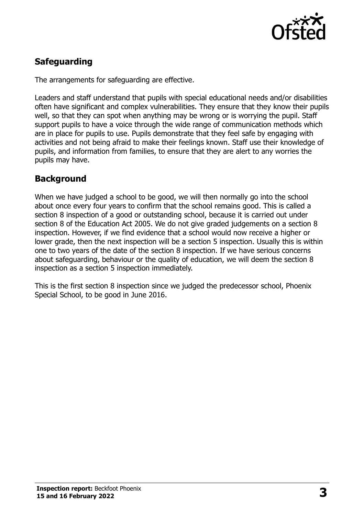

# **Safeguarding**

The arrangements for safeguarding are effective.

Leaders and staff understand that pupils with special educational needs and/or disabilities often have significant and complex vulnerabilities. They ensure that they know their pupils well, so that they can spot when anything may be wrong or is worrying the pupil. Staff support pupils to have a voice through the wide range of communication methods which are in place for pupils to use. Pupils demonstrate that they feel safe by engaging with activities and not being afraid to make their feelings known. Staff use their knowledge of pupils, and information from families, to ensure that they are alert to any worries the pupils may have.

# **Background**

When we have judged a school to be good, we will then normally go into the school about once every four years to confirm that the school remains good. This is called a section 8 inspection of a good or outstanding school, because it is carried out under section 8 of the Education Act 2005. We do not give graded judgements on a section 8 inspection. However, if we find evidence that a school would now receive a higher or lower grade, then the next inspection will be a section 5 inspection. Usually this is within one to two years of the date of the section 8 inspection. If we have serious concerns about safeguarding, behaviour or the quality of education, we will deem the section 8 inspection as a section 5 inspection immediately.

This is the first section 8 inspection since we judged the predecessor school, Phoenix Special School, to be good in June 2016.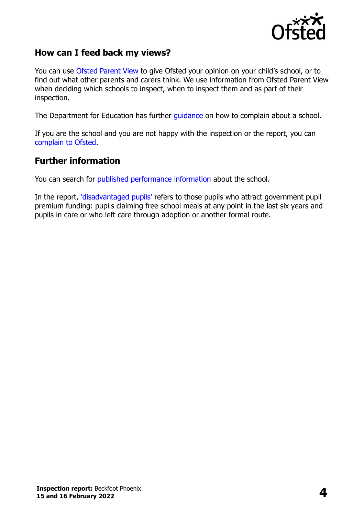

#### **How can I feed back my views?**

You can use [Ofsted Parent View](https://parentview.ofsted.gov.uk/) to give Ofsted your opinion on your child's school, or to find out what other parents and carers think. We use information from Ofsted Parent View when deciding which schools to inspect, when to inspect them and as part of their inspection.

The Department for Education has further [guidance](http://www.gov.uk/complain-about-school) on how to complain about a school.

If you are the school and you are not happy with the inspection or the report, you can [complain to Ofsted.](https://www.gov.uk/complain-ofsted-report)

#### **Further information**

You can search for [published performance information](http://www.compare-school-performance.service.gov.uk/) about the school.

In the report, '[disadvantaged pupils](http://www.gov.uk/guidance/pupil-premium-information-for-schools-and-alternative-provision-settings)' refers to those pupils who attract government pupil premium funding: pupils claiming free school meals at any point in the last six years and pupils in care or who left care through adoption or another formal route.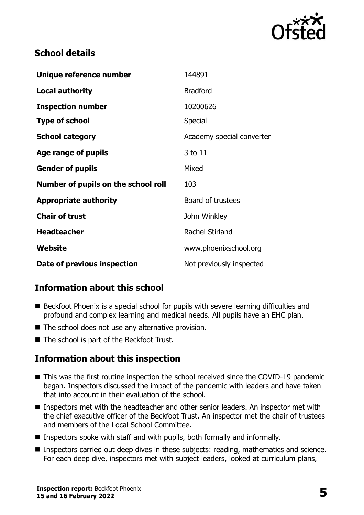

### **School details**

| Unique reference number             | 144891                    |
|-------------------------------------|---------------------------|
| <b>Local authority</b>              | <b>Bradford</b>           |
| <b>Inspection number</b>            | 10200626                  |
| <b>Type of school</b>               | Special                   |
| <b>School category</b>              | Academy special converter |
| Age range of pupils                 | 3 to 11                   |
| <b>Gender of pupils</b>             | Mixed                     |
| Number of pupils on the school roll | 103                       |
| <b>Appropriate authority</b>        | Board of trustees         |
| <b>Chair of trust</b>               | John Winkley              |
| <b>Headteacher</b>                  | <b>Rachel Stirland</b>    |
| Website                             | www.phoenixschool.org     |
| Date of previous inspection         | Not previously inspected  |

# **Information about this school**

- Beckfoot Phoenix is a special school for pupils with severe learning difficulties and profound and complex learning and medical needs. All pupils have an EHC plan.
- The school does not use any alternative provision.
- The school is part of the Beckfoot Trust.

# **Information about this inspection**

- This was the first routine inspection the school received since the COVID-19 pandemic began. Inspectors discussed the impact of the pandemic with leaders and have taken that into account in their evaluation of the school.
- Inspectors met with the headteacher and other senior leaders. An inspector met with the chief executive officer of the Beckfoot Trust. An inspector met the chair of trustees and members of the Local School Committee.
- **Inspectors spoke with staff and with pupils, both formally and informally.**
- **Inspectors carried out deep dives in these subjects: reading, mathematics and science.** For each deep dive, inspectors met with subject leaders, looked at curriculum plans,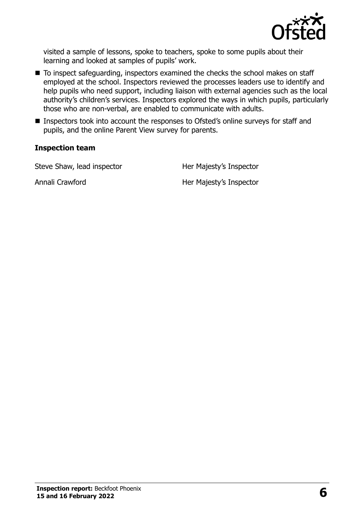

visited a sample of lessons, spoke to teachers, spoke to some pupils about their learning and looked at samples of pupils' work.

- To inspect safeguarding, inspectors examined the checks the school makes on staff employed at the school. Inspectors reviewed the processes leaders use to identify and help pupils who need support, including liaison with external agencies such as the local authority's children's services. Inspectors explored the ways in which pupils, particularly those who are non-verbal, are enabled to communicate with adults.
- Inspectors took into account the responses to Ofsted's online surveys for staff and pupils, and the online Parent View survey for parents.

#### **Inspection team**

Steve Shaw, lead inspector **Her Majesty's Inspector** 

Annali Crawford **Her Majesty's Inspector**